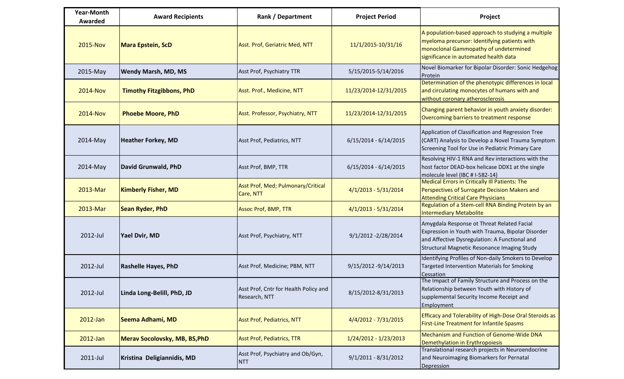| <b>Year-Month</b><br>Awarded | <b>Award Recipients</b>              | Rank / Department                                      | <b>Project Period</b>   | Project                                                                                                                                                                                         |
|------------------------------|--------------------------------------|--------------------------------------------------------|-------------------------|-------------------------------------------------------------------------------------------------------------------------------------------------------------------------------------------------|
| 2015-Nov                     | <b>Mara Epstein, ScD</b>             | Asst. Prof, Geriatric Med, NTT                         | 11/1/2015-10/31/16      | A population-based approach to studying a multiple<br>myeloma precursor: Identifying patients with<br>monoclonal Gammopathy of undetermined<br>significance in automated health data            |
| 2015-May                     | <b>Wendy Marsh, MD, MS</b>           | Asst Prof, Psychiatry TTR                              | 5/15/2015-5/14/2016     | Novel Biomarker for Bipolar Disorder: Sonic Hedgehog<br>Protein                                                                                                                                 |
| <b>2014-Nov</b>              | <b>Timothy Fitzgibbons, PhD</b>      | Asst. Prof., Medicine, NTT                             | 11/23/2014-12/31/2015   | Determination of the phenotypic differences in local<br>and circulating monocytes of humans with and<br>without coronary atherosclerosis                                                        |
| <b>2014-Nov</b>              | <b>Phoebe Moore, PhD</b>             | Asst. Professor, Psychiatry, NTT                       | 11/23/2014-12/31/2015   | Changing parent behavior in youth anxiety disorder:<br>Overcoming barriers to treatment response                                                                                                |
| 2014-May                     | <b>Heather Forkey, MD</b>            | Asst Prof, Pediatrics, NTT                             | $6/15/2014 - 6/14/2015$ | Application of Classification and Regression Tree<br>(CART) Analysis to Develop a Novel Trauma Symptom<br>Screening Tool for Use in Pediatric Primary Care                                      |
| 2014-May                     | David Grunwald, PhD                  | Asst Prof, BMP, TTR                                    | $6/15/2014 - 6/14/2015$ | Resolving HIV-1 RNA and Rev interactions with the<br>host factor DEAD-box helicase DDX1 at the single<br>molecule level (IBC # I-582-14)                                                        |
| 2013-Mar                     | <b>Kimberly Fisher, MD</b>           | Asst Prof, Med; Pulmonary/Critical<br>Care, NTT        | $4/1/2013 - 5/31/2014$  | Medical Errors in Critically Ill Patients: The<br>Perspectives of Surrogate Decision Makers and<br><b>Attending Critical Care Physicians</b>                                                    |
| 2013-Mar                     | <b>Sean Ryder, PhD</b>               | <b>Assoc Prof, BMP, TTR</b>                            | 4/1/2013 - 5/31/2014    | Regulation of a Stem-cell RNA Binding Protein by an<br><b>Intermediary Metabolite</b>                                                                                                           |
| 2012-Jul                     | Yael Dvir, MD                        | Asst Prof, Psychiatry, NTT                             | 9/1/2012 -2/28/2014     | Amygdala Response ot Threat Related Facial<br>Expression in Youth with Trauma, Bipolar Disorder<br>and Affective Dysregulation: A Functional and<br>Structural Magnetic Resonance Imaging Study |
| 2012-Jul                     | <b>Rashelle Hayes, PhD</b>           | Asst Prof, Medicine; PBM, NTT                          | 9/15/2012 -9/14/2013    | Identifying Profiles of Non-daily Smokers to Develop<br>Targeted Intervention Materials for Smoking<br>Cessation                                                                                |
| 2012-Jul                     | Linda Long-Belill, PhD, JD           | Asst Prof, Cntr for Health Policy and<br>Research, NTT | 8/15/2012-8/31/2013     | The Impact of Family Structure and Process on the<br>Relationship between Youth with History of<br>supplemental Security Income Receipt and<br>Employment                                       |
| 2012-Jan                     | Seema Adhami, MD                     | <b>Asst Prof, Pediatrics, NTT</b>                      | 4/4/2012 - 7/31/2015    | Efficacy and Tolerability of High-Dose Oral Steroids as<br><b>First-Line Treatment for Infantile Spasms</b>                                                                                     |
| 2012-Jan                     | <b>Merav Socolovsky, MB, BS, PhD</b> | <b>Asst Prof, Pediatrics, TTR</b>                      | 1/24/2012 - 1/23/2013   | Mechanism and Function of Genome-Wide DNA<br>Demethylation in Erythropoiesis                                                                                                                    |
| 2011-Jul                     | Kristina Deligiannidis, MD           | Asst Prof, Psychiatry and Ob/Gyn,<br><b>NTT</b>        | $9/1/2011 - 8/31/2012$  | Translational research projects in Neuroendocrine<br>and Neuroimaging Biomarkers for Pernatal<br>Depression                                                                                     |